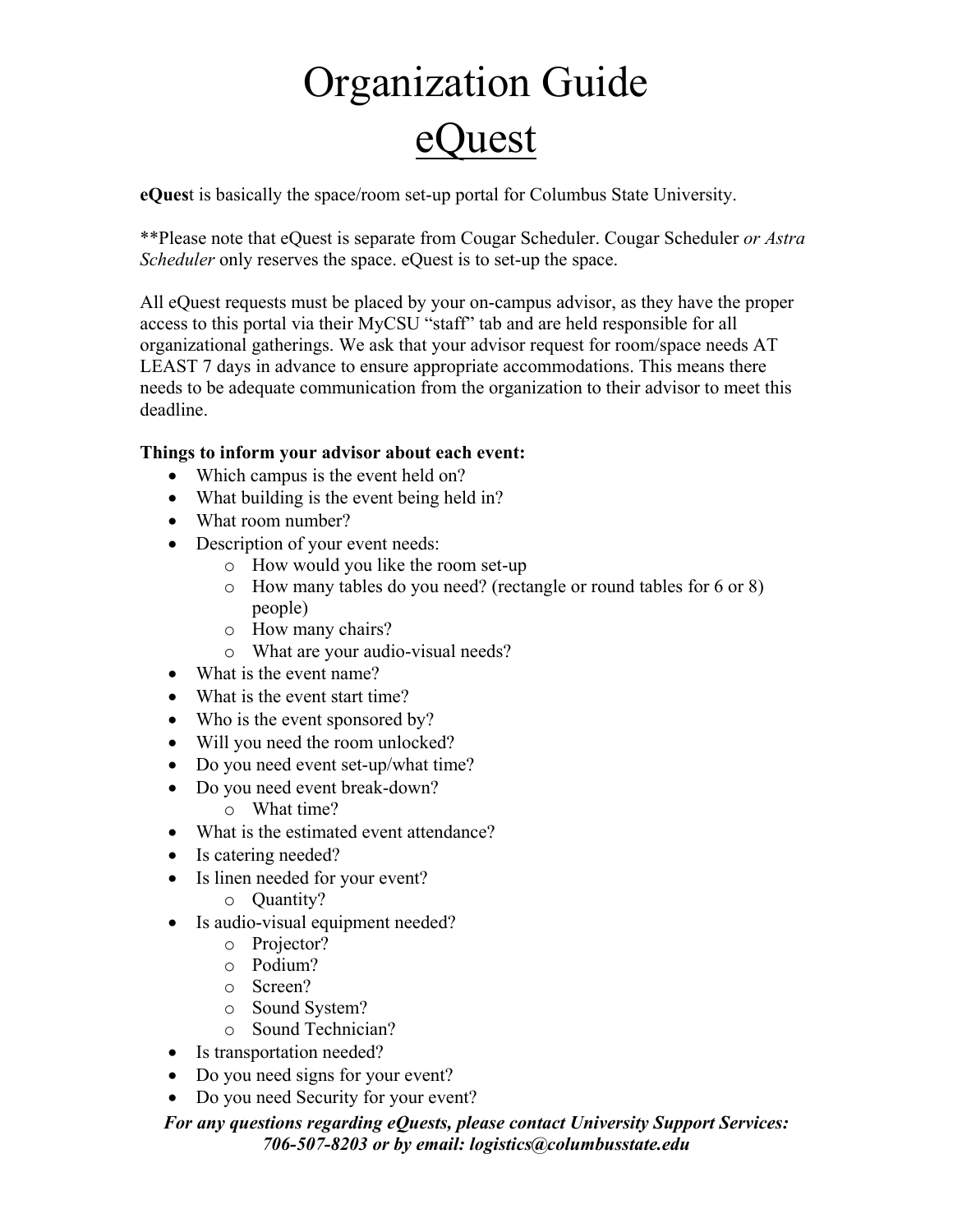# Organization Guide **Duest**

**eQues**t is basically the space/room set-up portal for Columbus State University.

\*\*Please note that eQuest is separate from Cougar Scheduler. Cougar Scheduler *or Astra Scheduler* only reserves the space. eQuest is to set-up the space.

All eQuest requests must be placed by your on-campus advisor, as they have the proper access to this portal via their MyCSU "staff" tab and are held responsible for all organizational gatherings. We ask that your advisor request for room/space needs AT LEAST 7 days in advance to ensure appropriate accommodations. This means there needs to be adequate communication from the organization to their advisor to meet this deadline.

## **Things to inform your advisor about each event:**

- Which campus is the event held on?
- What building is the event being held in?
- What room number?
- Description of your event needs:
	- o How would you like the room set-up
	- o How many tables do you need? (rectangle or round tables for 6 or 8) people)
	- o How many chairs?
	- o What are your audio-visual needs?
- What is the event name?
- What is the event start time?
- Who is the event sponsored by?
- Will you need the room unlocked?
- Do you need event set-up/what time?
- Do you need event break-down?
	- o What time?
- What is the estimated event attendance?
- Is catering needed?
- Is linen needed for your event?
	- o Quantity?
- Is audio-visual equipment needed?
	- o Projector?
	- o Podium?
	- o Screen?
	- o Sound System?
	- o Sound Technician?
- Is transportation needed?
- Do you need signs for your event?
- Do you need Security for your event?

### *For any questions regarding eQuests, please contact University Support Services: 706-507-8203 or by email: logistics@columbusstate.edu*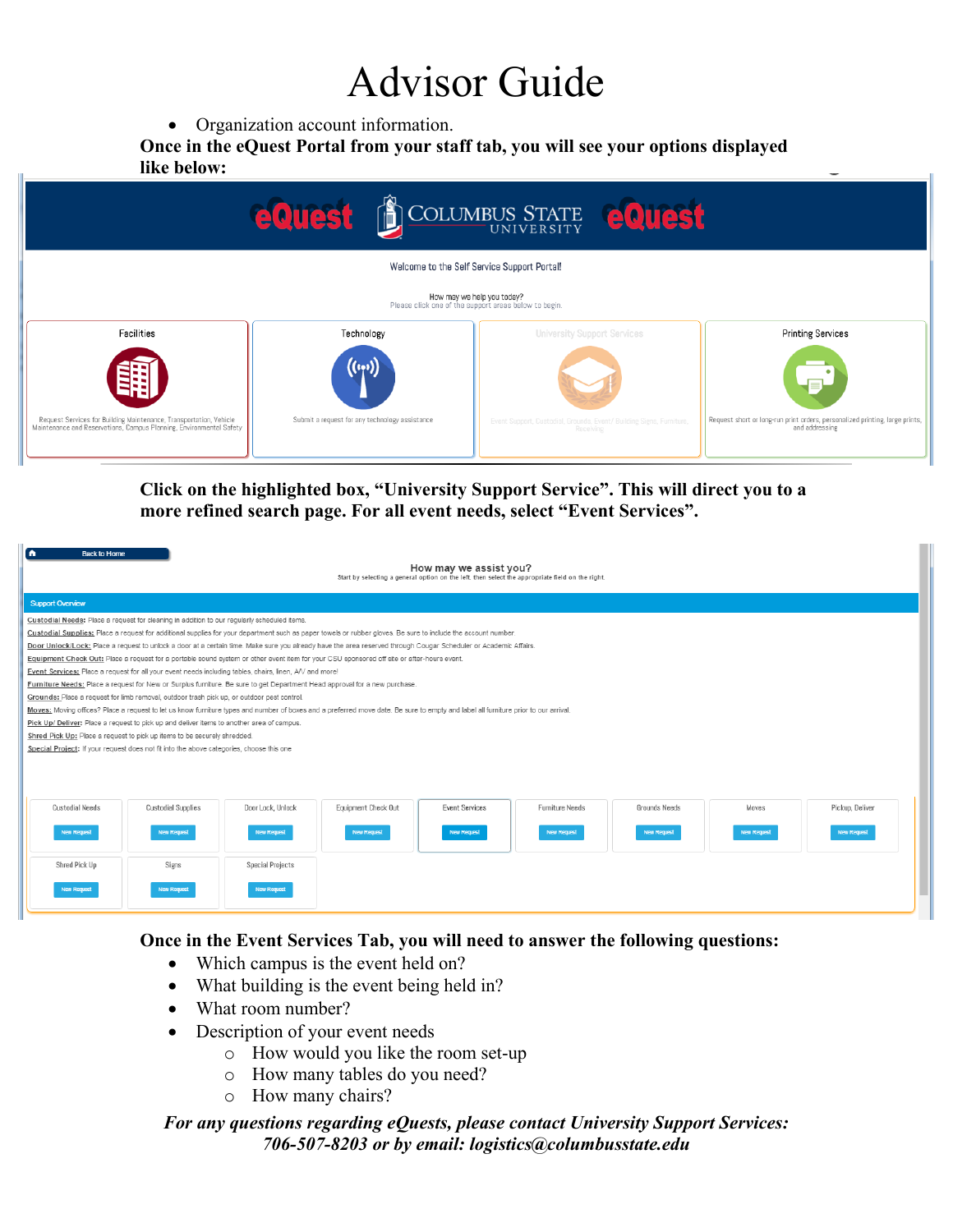## Advisor Guide

• Organization account information.

**Once in the eQuest Portal from your staff tab, you will see your options displayed like below:** 

| <b>EQUEST DE COLUMBUS STATE EQUEST</b>                                                                                                    |                                                              |                                                                                   |                                                                                                |  |  |  |  |  |
|-------------------------------------------------------------------------------------------------------------------------------------------|--------------------------------------------------------------|-----------------------------------------------------------------------------------|------------------------------------------------------------------------------------------------|--|--|--|--|--|
| Welcome to the Self Service Support Portal!                                                                                               |                                                              |                                                                                   |                                                                                                |  |  |  |  |  |
| How may we help you today?<br>Please click one of the support areas below to begin.                                                       |                                                              |                                                                                   |                                                                                                |  |  |  |  |  |
| Facilities                                                                                                                                | Technology                                                   | <b>University Support Services</b>                                                | <b>Printing Services</b>                                                                       |  |  |  |  |  |
| Request Services for Building Maintenance, Transportation, Vehicle<br>Maintenance and Reservations, Campus Planning, Environmental Safety | (((((1))))<br>Submit a request for any technology assistance | Event Support, Custodial, Grounds, Event/ Building Signs, Furniture,<br>Receiving | Request short or long-run print orders, personalized printing, large prints,<br>and addressing |  |  |  |  |  |
|                                                                                                                                           |                                                              |                                                                                   |                                                                                                |  |  |  |  |  |

## **Click on the highlighted box, "University Support Service". This will direct you to a more refined search page. For all event needs, select "Event Services".**

| n<br><b>Back to Home</b><br>How may we assist you?<br>Start by selecting a general option on the left, then select the appropriate field on the right.                              |                                                                                             |                     |                       |                        |                    |                    |                    |  |
|-------------------------------------------------------------------------------------------------------------------------------------------------------------------------------------|---------------------------------------------------------------------------------------------|---------------------|-----------------------|------------------------|--------------------|--------------------|--------------------|--|
| <b>Support Overview</b>                                                                                                                                                             |                                                                                             |                     |                       |                        |                    |                    |                    |  |
|                                                                                                                                                                                     | Custodial Needs: Place a request for cleaning in addition to our regularly scheduled items. |                     |                       |                        |                    |                    |                    |  |
| Custodial Supplies: Place a request for additional supplies for your department such as paper towels or rubber gloves. Be sure to include the account number.                       |                                                                                             |                     |                       |                        |                    |                    |                    |  |
| Door Unlock/Lock: Place a request to unlock a door at a certain time. Make sure you already have the area reserved through Cougar Scheduler or Academic Affairs.                    |                                                                                             |                     |                       |                        |                    |                    |                    |  |
| Equipment Check Out: Place a request for a portable sound system or other event item for your CSU sponsored off site or after-hours event.                                          |                                                                                             |                     |                       |                        |                    |                    |                    |  |
| Event Services: Place a request for all your event needs including tables, chairs, linen, A/V and more!                                                                             |                                                                                             |                     |                       |                        |                    |                    |                    |  |
| Furniture Needs: Place a request for New or Surplus furniture. Be sure to get Department Head approval for a new purchase.                                                          |                                                                                             |                     |                       |                        |                    |                    |                    |  |
| Grounds: Place a request for limb removal, outdoor trash pick up, or outdoor pest control.                                                                                          |                                                                                             |                     |                       |                        |                    |                    |                    |  |
| Moves: Moving offices? Place a request to let us know furniture types and number of boxes and a preferred move date. Be sure to empty and label all furniture prior to our arrival. |                                                                                             |                     |                       |                        |                    |                    |                    |  |
| Pick Up/ Deliver: Place a request to pick up and deliver items to another area of campus.                                                                                           |                                                                                             |                     |                       |                        |                    |                    |                    |  |
| Shred Pick Up: Place a request to pick up items to be securely shredded.                                                                                                            |                                                                                             |                     |                       |                        |                    |                    |                    |  |
| Special Project: If your request does not fit into the above categories, choose this one                                                                                            |                                                                                             |                     |                       |                        |                    |                    |                    |  |
|                                                                                                                                                                                     |                                                                                             |                     |                       |                        |                    |                    |                    |  |
|                                                                                                                                                                                     |                                                                                             |                     |                       |                        |                    |                    |                    |  |
|                                                                                                                                                                                     |                                                                                             |                     |                       |                        |                    |                    |                    |  |
| <b>Custodial Needs</b><br><b>Custodial Supplies</b>                                                                                                                                 | Door Lock, Unlock                                                                           | Equipment Check Out | <b>Event Services</b> | <b>Furniture Needs</b> | Grounds Needs      | Moves              | Pickup, Deliver    |  |
|                                                                                                                                                                                     |                                                                                             |                     |                       |                        |                    |                    |                    |  |
| <b>New Request</b><br><b>New Request</b>                                                                                                                                            | <b>New Request</b>                                                                          | <b>New Request</b>  | <b>New Request</b>    | <b>New Request</b>     | <b>New Request</b> | <b>New Request</b> | <b>New Request</b> |  |
|                                                                                                                                                                                     |                                                                                             |                     |                       |                        |                    |                    |                    |  |
| Shred Pick Up<br>Signs                                                                                                                                                              | <b>Special Projects</b>                                                                     |                     |                       |                        |                    |                    |                    |  |
|                                                                                                                                                                                     |                                                                                             |                     |                       |                        |                    |                    |                    |  |
| <b>New Request</b><br><b>New Request</b>                                                                                                                                            | <b>New Request</b>                                                                          |                     |                       |                        |                    |                    |                    |  |
|                                                                                                                                                                                     |                                                                                             |                     |                       |                        |                    |                    |                    |  |

### **Once in the Event Services Tab, you will need to answer the following questions:**

- Which campus is the event held on?
- What building is the event being held in?
- What room number?
- Description of your event needs
	- o How would you like the room set-up
	- o How many tables do you need?
	- o How many chairs?

#### *For any questions regarding eQuests, please contact University Support Services: 706-507-8203 or by email: logistics@columbusstate.edu*